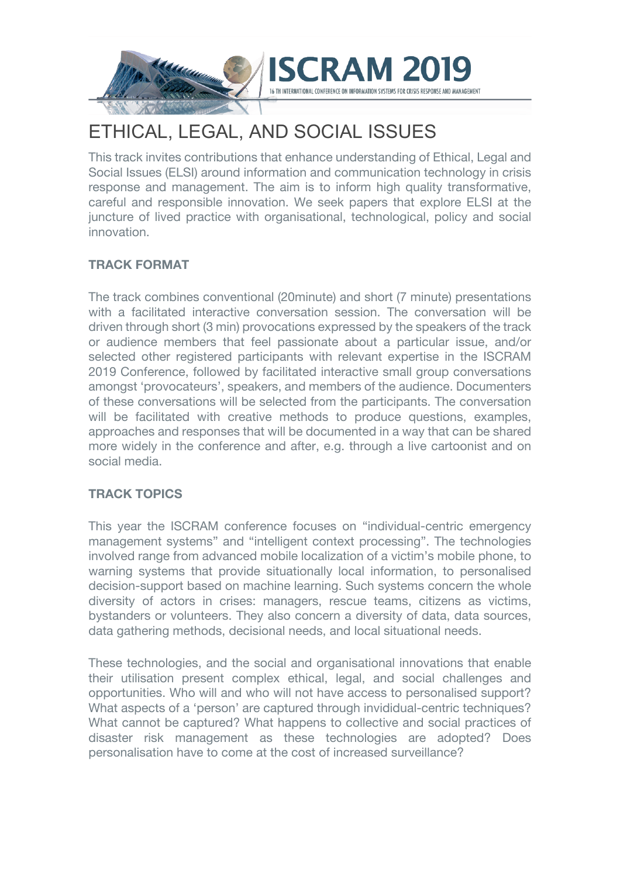

# ETHICAL, LEGAL, AND SOCIAL ISSUES

This track invites contributions that enhance understanding of Ethical, Legal and Social Issues (ELSI) around information and communication technology in crisis response and management. The aim is to inform high quality transformative, careful and responsible innovation. We seek papers that explore ELSI at the juncture of lived practice with organisational, technological, policy and social innovation.

# **TRACK FORMAT**

The track combines conventional (20minute) and short (7 minute) presentations with a facilitated interactive conversation session. The conversation will be driven through short (3 min) provocations expressed by the speakers of the track or audience members that feel passionate about a particular issue, and/or selected other registered participants with relevant expertise in the ISCRAM 2019 Conference, followed by facilitated interactive small group conversations amongst 'provocateurs', speakers, and members of the audience. Documenters of these conversations will be selected from the participants. The conversation will be facilitated with creative methods to produce questions, examples, approaches and responses that will be documented in a way that can be shared more widely in the conference and after, e.g. through a live cartoonist and on social media.

# **TRACK TOPICS**

This year the ISCRAM conference focuses on "individual-centric emergency management systems" and "intelligent context processing". The technologies involved range from advanced mobile localization of a victim's mobile phone, to warning systems that provide situationally local information, to personalised decision-support based on machine learning. Such systems concern the whole diversity of actors in crises: managers, rescue teams, citizens as victims, bystanders or volunteers. They also concern a diversity of data, data sources, data gathering methods, decisional needs, and local situational needs.

These technologies, and the social and organisational innovations that enable their utilisation present complex ethical, legal, and social challenges and opportunities. Who will and who will not have access to personalised support? What aspects of a 'person' are captured through invididual-centric techniques? What cannot be captured? What happens to collective and social practices of disaster risk management as these technologies are adopted? Does personalisation have to come at the cost of increased surveillance?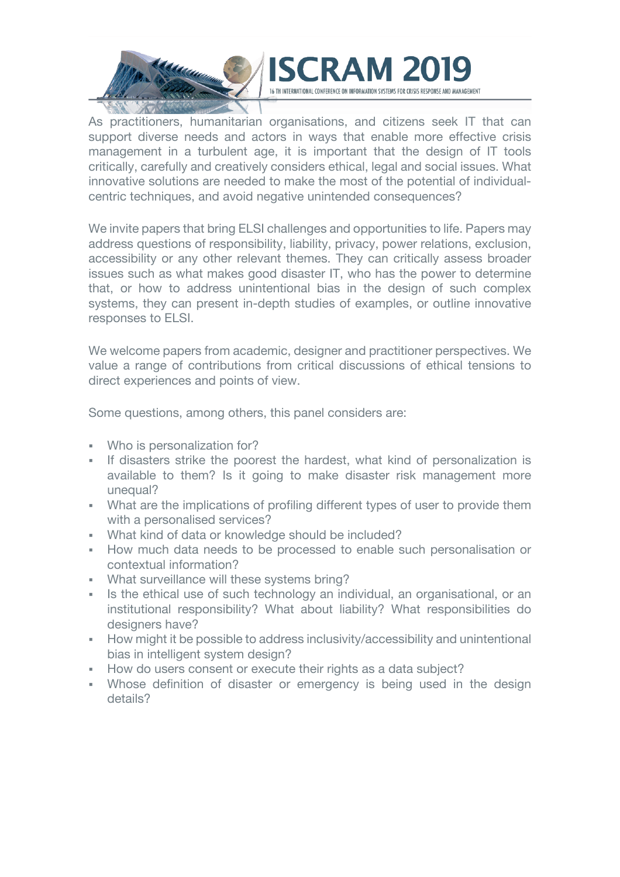



As practitioners, humanitarian organisations, and citizens seek IT that can support diverse needs and actors in ways that enable more effective crisis management in a turbulent age, it is important that the design of IT tools critically, carefully and creatively considers ethical, legal and social issues. What innovative solutions are needed to make the most of the potential of individualcentric techniques, and avoid negative unintended consequences?

We invite papers that bring ELSI challenges and opportunities to life. Papers may address questions of responsibility, liability, privacy, power relations, exclusion, accessibility or any other relevant themes. They can critically assess broader issues such as what makes good disaster IT, who has the power to determine that, or how to address unintentional bias in the design of such complex systems, they can present in-depth studies of examples, or outline innovative responses to ELSI.

We welcome papers from academic, designer and practitioner perspectives. We value a range of contributions from critical discussions of ethical tensions to direct experiences and points of view.

Some questions, among others, this panel considers are:

- Who is personalization for?
- If disasters strike the poorest the hardest, what kind of personalization is available to them? Is it going to make disaster risk management more unequal?
- What are the implications of profiling different types of user to provide them with a personalised services?
- What kind of data or knowledge should be included?
- § How much data needs to be processed to enable such personalisation or contextual information?
- § What surveillance will these systems bring?
- Is the ethical use of such technology an individual, an organisational, or an institutional responsibility? What about liability? What responsibilities do designers have?
- **How might it be possible to address inclusivity/accessibility and unintentional** bias in intelligent system design?
- How do users consent or execute their rights as a data subject?
- Whose definition of disaster or emergency is being used in the design details?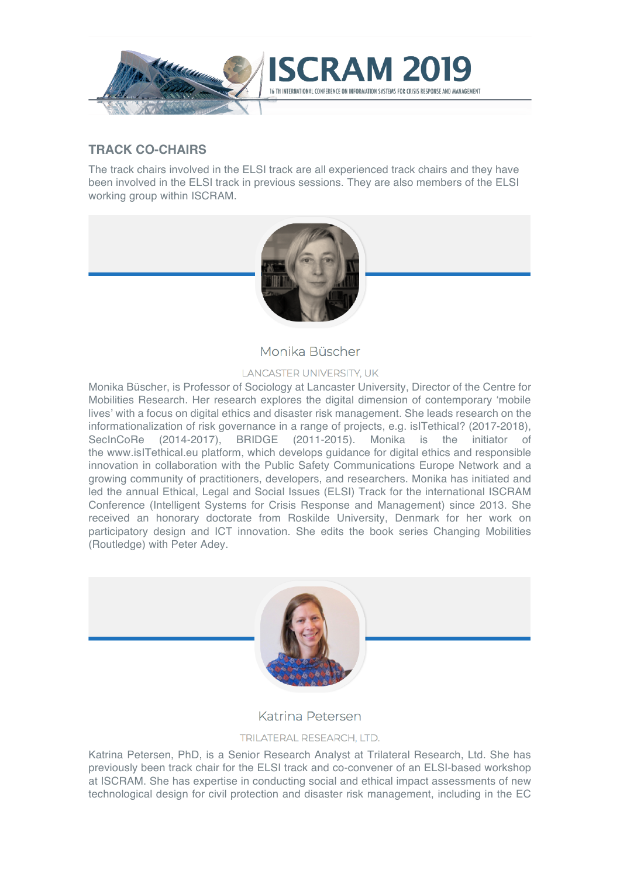

## **TRACK CO-CHAIRS**

The track chairs involved in the ELSI track are all experienced track chairs and they have been involved in the ELSI track in previous sessions. They are also members of the ELSI working group within ISCRAM.



Monika Büscher

#### **LANCASTER UNIVERSITY, UK**

Monika Büscher, is Professor of Sociology at Lancaster University, Director of the Centre for Mobilities Research. Her research explores the digital dimension of contemporary 'mobile lives' with a focus on digital ethics and disaster risk management. She leads research on the informationalization of risk governance in a range of projects, e.g. isITethical? (2017-2018), SecInCoRe (2014-2017), BRIDGE (2011-2015). Monika is the initiator of the www.isITethical.eu platform, which develops guidance for digital ethics and responsible innovation in collaboration with the Public Safety Communications Europe Network and a growing community of practitioners, developers, and researchers. Monika has initiated and led the annual Ethical, Legal and Social Issues (ELSI) Track for the international ISCRAM Conference (Intelligent Systems for Crisis Response and Management) since 2013. She received an honorary doctorate from Roskilde University, Denmark for her work on participatory design and ICT innovation. She edits the book series Changing Mobilities (Routledge) with Peter Adey.



## Katrina Petersen

#### TRILATERAL RESEARCH, LTD.

Katrina Petersen, PhD, is a Senior Research Analyst at Trilateral Research, Ltd. She has previously been track chair for the ELSI track and co-convener of an ELSI-based workshop at ISCRAM. She has expertise in conducting social and ethical impact assessments of new technological design for civil protection and disaster risk management, including in the EC